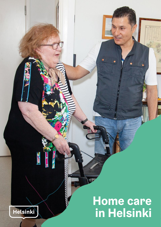# **Home care in Helsinki**



 $1.0 - 0.0$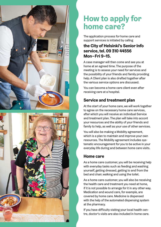



# **How to apply for home care?**

The application process for home care and support services is initiated by calling

### **the City of Helsinki's Senior Info service, tel. 09 310 44556 Mon–Fri 9–15.**

A case manager will then come and see you at home at an agreed time. The purpose of the meeting is to assess your need for services and the possibility of your friends and family providing help. A Client plan is also drafted together after the various service options are discussed.

You can become a home care client even after receiving care at a hospital.

### **Service and treatment plan**

At the start of your home care, we will work together to agree on the necessary home care services, after which you will receive an individual Service and treatment plan. The plan will take into accont your resources and the ability of your friends and family to help, as well as your use of other services.

You will also be making a Mobility agreement, which is a plan to maintain and improve your own resources. The Mobility agreement includes systematic encouragement for you to be active in your everyday life during and between home care visits.

#### **Home care**

As a home care customer, you will be receiving help with everyday tasks such as feeding and washing yourself, getting dressed, getting to and from the bed and chair, walking and using the toilet.

As a home care customer, you will also be receiving the health care and treatment you need at home, if it is not possible to arrange for it in any other way. Medication and wound care, for example, are covered by home care. Medicine is dispensed with the help of the automated dispensing system at the pharmacy.

If you have difficulty visiting your local health centre, doctor's visits are also included in home care.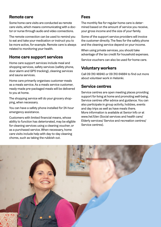#### **Remote care**

Some home care visits are conducted as remote care visits, which means communicating with a doctor or nurse through audio and video connections.

The remote connection can be used to remind you to eat and take your medication or instruct you to be more active, for example. Remote care is always related to monitoring your health.

#### **Home care support services**

Home care support services include meal and shopping services, safety services (safety phone, door alarm and GPS tracking), cleaning services and sauna services.

Home care primarily organises customer meals as a meals service. As a meals service customer, ready-made pre-packaged meals will be delivered to you at home.

The shopping service will do your grocery shopping, when necessary.

You can have a safety phone installed for 24-hour emergency assistance.

Customers with limited financial means, whose ability to function has deteriorated, may be eligible for cleaning services using a cleaning voucher, or as a purchased service. When necessary, home care visits include help with day-to-day cleaning chores, such as taking the rubbish out.

#### **Fees**

The monthly fee for regular home care is determined based on the amount of service you receive, your gross income and the size of your family.

Some of the support service providers will invoice the customer directly. The fees for the safety phone and the cleaning service depend on your income.

When using private services, you should take advantage of the tax credit for household expenses.

Service vouchers can also be used for home care.

#### **Voluntary workers**

Call 09 310 46940 or 09 310 64884 to find out more about volunteer work in Helsinki.

#### **Service centres**

Service centres are open meeting places providing support for living at home and promoting well-being. Service centres offer advice and guidance. You can also participate in group activity, hobbies, events and day trips as well as have meals there. More information is available at Senior Info or at www.hel.fi/en (Social services and health care/ Elderly services/ Service and recreation centres/ Service centres).